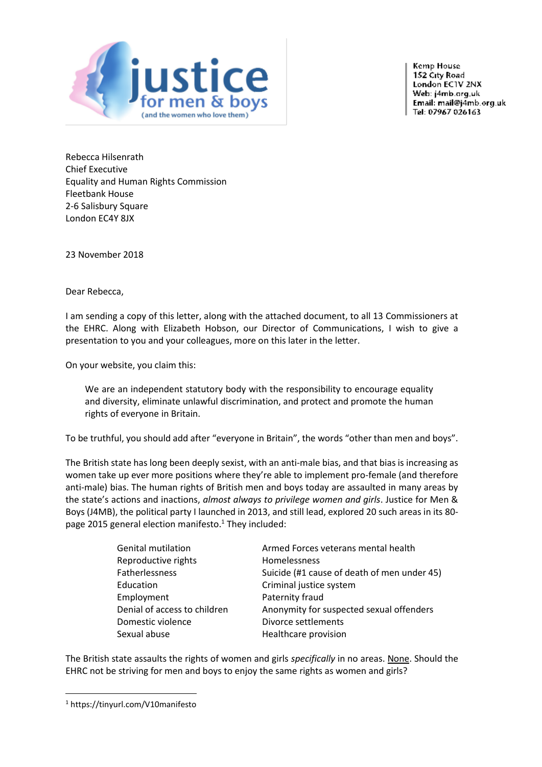

**Kemp House** 152 City Road London ECTV 2NX Web: j4mb.org.uk Email: mail@j4mb.org.uk Tel: 07967 026163

Rebecca Hilsenrath Chief Executive Equality and Human Rights Commission Fleetbank House 2-6 Salisbury Square London EC4Y 8JX

23 November 2018

Dear Rebecca,

I am sending a copy of this letter, along with the attached document, to all 13 Commissioners at the EHRC. Along with Elizabeth Hobson, our Director of Communications, I wish to give a presentation to you and your colleagues, more on this later in the letter.

On your website, you claim this:

We are an independent statutory body with the responsibility to encourage equality and diversity, eliminate unlawful discrimination, and protect and promote the human rights of everyone in Britain.

To be truthful, you should add after "everyone in Britain", the words "other than men and boys".

The British state has long been deeply sexist, with an anti-male bias, and that bias is increasing as women take up ever more positions where they're able to implement pro-female (and therefore anti-male) bias. The human rights of British men and boys today are assaulted in many areas by the state's actions and inactions, *almost always to privilege women and girls*. Justice for Men & Boys (J4MB), the political party I launched in 2013, and still lead, explored 20 such areas in its 80 page 2015 general election manifesto.<sup>1</sup> They included:

| <b>Genital mutilation</b>    | Armed Forces veterans mental health         |
|------------------------------|---------------------------------------------|
| Reproductive rights          | Homelessness                                |
| Fatherlessness               | Suicide (#1 cause of death of men under 45) |
| Education                    | Criminal justice system                     |
| Employment                   | Paternity fraud                             |
| Denial of access to children | Anonymity for suspected sexual offenders    |
| Domestic violence            | Divorce settlements                         |
| Sexual abuse                 | Healthcare provision                        |

The British state assaults the rights of women and girls *specifically* in no areas. None. Should the EHRC not be striving for men and boys to enjoy the same rights as women and girls?

<sup>1</sup> https://tinyurl.com/V10manifesto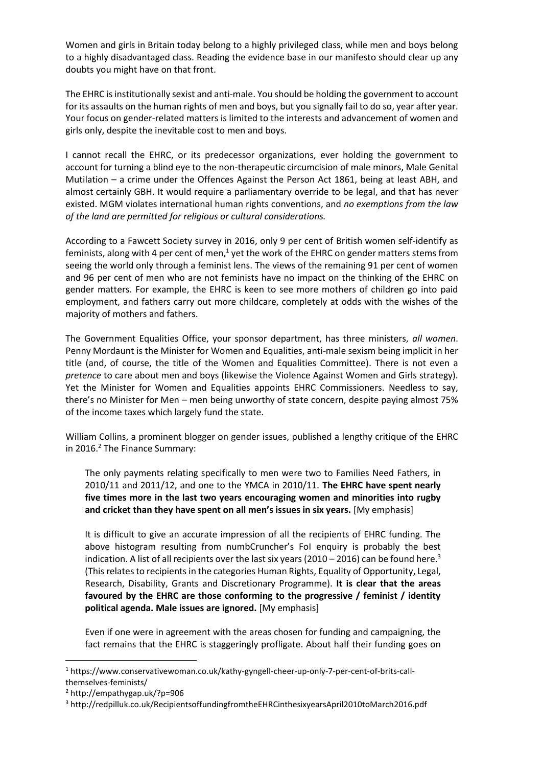Women and girls in Britain today belong to a highly privileged class, while men and boys belong to a highly disadvantaged class. Reading the evidence base in our manifesto should clear up any doubts you might have on that front.

The EHRC is institutionally sexist and anti-male. You should be holding the government to account for its assaults on the human rights of men and boys, but you signally fail to do so, year after year. Your focus on gender-related matters is limited to the interests and advancement of women and girls only, despite the inevitable cost to men and boys.

I cannot recall the EHRC, or its predecessor organizations, ever holding the government to account for turning a blind eye to the non-therapeutic circumcision of male minors, Male Genital Mutilation – a crime under the Offences Against the Person Act 1861, being at least ABH, and almost certainly GBH. It would require a parliamentary override to be legal, and that has never existed. MGM violates international human rights conventions, and *no exemptions from the law of the land are permitted for religious or cultural considerations.*

According to a Fawcett Society survey in 2016, only 9 per cent of British women self-identify as feminists, along with 4 per cent of men,<sup>1</sup> yet the work of the EHRC on gender matters stems from seeing the world only through a feminist lens. The views of the remaining 91 per cent of women and 96 per cent of men who are not feminists have no impact on the thinking of the EHRC on gender matters. For example, the EHRC is keen to see more mothers of children go into paid employment, and fathers carry out more childcare, completely at odds with the wishes of the majority of mothers and fathers.

The Government Equalities Office, your sponsor department, has three ministers, *all women*. Penny Mordaunt is the Minister for Women and Equalities, anti-male sexism being implicit in her title (and, of course, the title of the Women and Equalities Committee). There is not even a *pretence* to care about men and boys (likewise the Violence Against Women and Girls strategy). Yet the Minister for Women and Equalities appoints EHRC Commissioners. Needless to say, there's no Minister for Men – men being unworthy of state concern, despite paying almost 75% of the income taxes which largely fund the state.

William Collins, a prominent blogger on gender issues, published a lengthy critique of the EHRC in 2016. $^2$  The Finance Summary:

The only payments relating specifically to men were two to Families Need Fathers, in 2010/11 and 2011/12, and one to the YMCA in 2010/11. **The EHRC have spent nearly five times more in the last two years encouraging women and minorities into rugby and cricket than they have spent on all men's issues in six years.** [My emphasis]

It is difficult to give an accurate impression of all the recipients of EHRC funding. The above histogram resulting from numbCruncher's FoI enquiry is probably the best indication. A list of all recipients over the last six years (2010 – 2016) can be found here.<sup>3</sup> (This relates to recipients in the categories Human Rights, Equality of Opportunity, Legal, Research, Disability, Grants and Discretionary Programme). **It is clear that the areas favoured by the EHRC are those conforming to the progressive / feminist / identity political agenda. Male issues are ignored.** [My emphasis]

Even if one were in agreement with the areas chosen for funding and campaigning, the fact remains that the EHRC is staggeringly profligate. About half their funding goes on

**.** 

<sup>1</sup> https://www.conservativewoman.co.uk/kathy-gyngell-cheer-up-only-7-per-cent-of-brits-callthemselves-feminists/

<sup>2</sup> http://empathygap.uk/?p=906

<sup>3</sup> http://redpilluk.co.uk/RecipientsoffundingfromtheEHRCinthesixyearsApril2010toMarch2016.pdf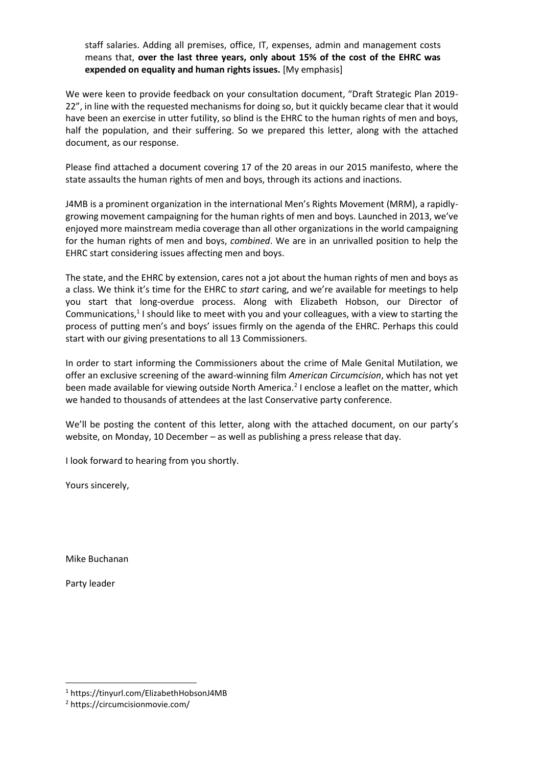staff salaries. Adding all premises, office, IT, expenses, admin and management costs means that, **over the last three years, only about 15% of the cost of the EHRC was expended on equality and human rights issues.** [My emphasis]

We were keen to provide feedback on your consultation document, "Draft Strategic Plan 2019- 22", in line with the requested mechanisms for doing so, but it quickly became clear that it would have been an exercise in utter futility, so blind is the EHRC to the human rights of men and boys, half the population, and their suffering. So we prepared this letter, along with the attached document, as our response.

Please find attached a document covering 17 of the 20 areas in our 2015 manifesto, where the state assaults the human rights of men and boys, through its actions and inactions.

J4MB is a prominent organization in the international Men's Rights Movement (MRM), a rapidlygrowing movement campaigning for the human rights of men and boys. Launched in 2013, we've enjoyed more mainstream media coverage than all other organizations in the world campaigning for the human rights of men and boys, *combined*. We are in an unrivalled position to help the EHRC start considering issues affecting men and boys.

The state, and the EHRC by extension, cares not a jot about the human rights of men and boys as a class. We think it's time for the EHRC to *start* caring, and we're available for meetings to help you start that long-overdue process. Along with Elizabeth Hobson, our Director of Communications,<sup>1</sup> I should like to meet with you and your colleagues, with a view to starting the process of putting men's and boys' issues firmly on the agenda of the EHRC. Perhaps this could start with our giving presentations to all 13 Commissioners.

In order to start informing the Commissioners about the crime of Male Genital Mutilation, we offer an exclusive screening of the award-winning film *American Circumcision*, which has not yet been made available for viewing outside North America.<sup>2</sup> I enclose a leaflet on the matter, which we handed to thousands of attendees at the last Conservative party conference.

We'll be posting the content of this letter, along with the attached document, on our party's website, on Monday, 10 December – as well as publishing a press release that day.

I look forward to hearing from you shortly.

Yours sincerely,

Mike Buchanan

Party leader

**.** 

<sup>1</sup> https://tinyurl.com/ElizabethHobsonJ4MB

<sup>2</sup> https://circumcisionmovie.com/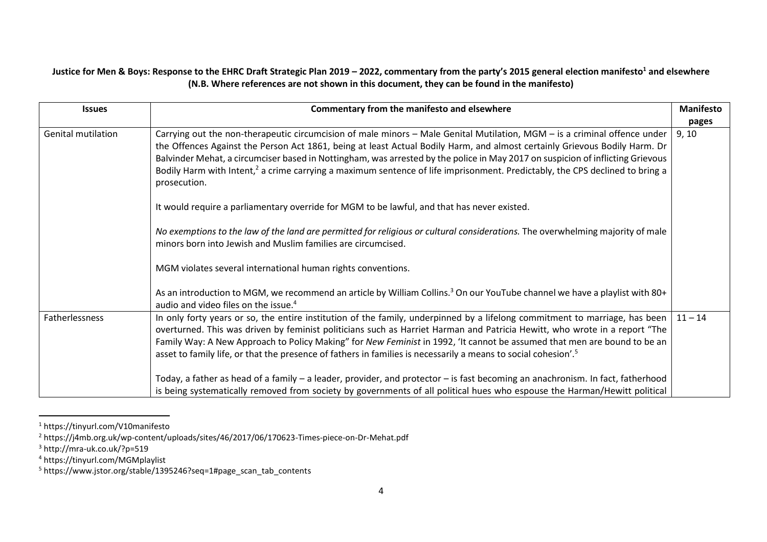## **Justice for Men & Boys: Response to the EHRC Draft Strategic Plan 2019 – 2022, commentary from the party's 2015 general election manifesto<sup>1</sup> and elsewhere (N.B. Where references are not shown in this document, they can be found in the manifesto)**

| <b>Issues</b>             | Commentary from the manifesto and elsewhere                                                                                                                                                                                                                                                                                                                                                                                                                                                                                                                                                                                                          | <b>Manifesto</b><br>pages |
|---------------------------|------------------------------------------------------------------------------------------------------------------------------------------------------------------------------------------------------------------------------------------------------------------------------------------------------------------------------------------------------------------------------------------------------------------------------------------------------------------------------------------------------------------------------------------------------------------------------------------------------------------------------------------------------|---------------------------|
| <b>Genital mutilation</b> | Carrying out the non-therapeutic circumcision of male minors - Male Genital Mutilation, MGM - is a criminal offence under<br>the Offences Against the Person Act 1861, being at least Actual Bodily Harm, and almost certainly Grievous Bodily Harm. Dr<br>Balvinder Mehat, a circumciser based in Nottingham, was arrested by the police in May 2017 on suspicion of inflicting Grievous<br>Bodily Harm with Intent, <sup>2</sup> a crime carrying a maximum sentence of life imprisonment. Predictably, the CPS declined to bring a<br>prosecution.<br>It would require a parliamentary override for MGM to be lawful, and that has never existed. | 9, 10                     |
|                           | No exemptions to the law of the land are permitted for religious or cultural considerations. The overwhelming majority of male<br>minors born into Jewish and Muslim families are circumcised.<br>MGM violates several international human rights conventions.<br>As an introduction to MGM, we recommend an article by William Collins. <sup>3</sup> On our YouTube channel we have a playlist with 80+                                                                                                                                                                                                                                             |                           |
|                           | audio and video files on the issue. <sup>4</sup>                                                                                                                                                                                                                                                                                                                                                                                                                                                                                                                                                                                                     |                           |
| Fatherlessness            | In only forty years or so, the entire institution of the family, underpinned by a lifelong commitment to marriage, has been<br>overturned. This was driven by feminist politicians such as Harriet Harman and Patricia Hewitt, who wrote in a report "The<br>Family Way: A New Approach to Policy Making" for New Feminist in 1992, 'It cannot be assumed that men are bound to be an<br>asset to family life, or that the presence of fathers in families is necessarily a means to social cohesion'. <sup>5</sup>                                                                                                                                  | $11 - 14$                 |
|                           | Today, a father as head of a family - a leader, provider, and protector - is fast becoming an anachronism. In fact, fatherhood<br>is being systematically removed from society by governments of all political hues who espouse the Harman/Hewitt political                                                                                                                                                                                                                                                                                                                                                                                          |                           |

<sup>1</sup> https://tinyurl.com/V10manifesto

<sup>2</sup> https://j4mb.org.uk/wp-content/uploads/sites/46/2017/06/170623-Times-piece-on-Dr-Mehat.pdf

<sup>3</sup> http://mra-uk.co.uk/?p=519

<sup>4</sup> https://tinyurl.com/MGMplaylist

<sup>5</sup> https://www.jstor.org/stable/1395246?seq=1#page\_scan\_tab\_contents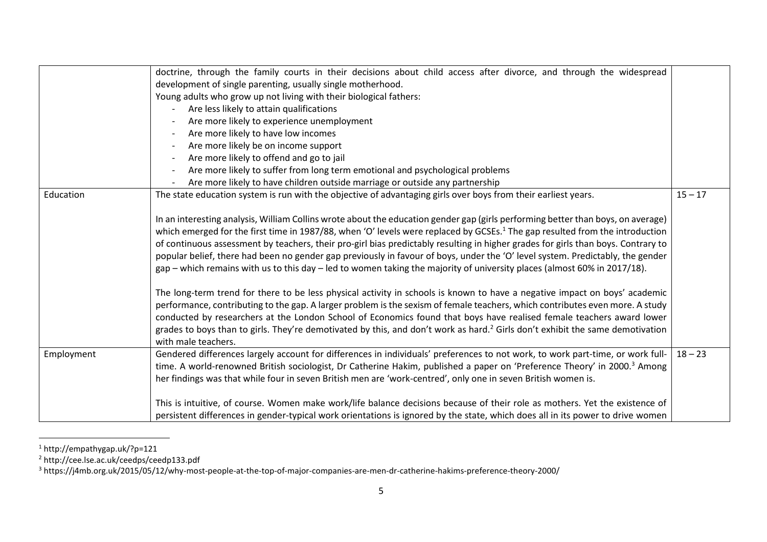|            | doctrine, through the family courts in their decisions about child access after divorce, and through the widespread<br>development of single parenting, usually single motherhood.<br>Young adults who grow up not living with their biological fathers:<br>Are less likely to attain qualifications<br>Are more likely to experience unemployment<br>Are more likely to have low incomes<br>Are more likely be on income support<br>Are more likely to offend and go to jail<br>Are more likely to suffer from long term emotional and psychological problems<br>Are more likely to have children outside marriage or outside any partnership                                                                                                                                                                                                                                                                                                                                                                                                                                                                                                                                                                                                                                                                                                       |           |
|------------|------------------------------------------------------------------------------------------------------------------------------------------------------------------------------------------------------------------------------------------------------------------------------------------------------------------------------------------------------------------------------------------------------------------------------------------------------------------------------------------------------------------------------------------------------------------------------------------------------------------------------------------------------------------------------------------------------------------------------------------------------------------------------------------------------------------------------------------------------------------------------------------------------------------------------------------------------------------------------------------------------------------------------------------------------------------------------------------------------------------------------------------------------------------------------------------------------------------------------------------------------------------------------------------------------------------------------------------------------|-----------|
| Education  | The state education system is run with the objective of advantaging girls over boys from their earliest years.<br>In an interesting analysis, William Collins wrote about the education gender gap (girls performing better than boys, on average)<br>which emerged for the first time in 1987/88, when 'O' levels were replaced by GCSEs. <sup>1</sup> The gap resulted from the introduction<br>of continuous assessment by teachers, their pro-girl bias predictably resulting in higher grades for girls than boys. Contrary to<br>popular belief, there had been no gender gap previously in favour of boys, under the 'O' level system. Predictably, the gender<br>gap – which remains with us to this day – led to women taking the majority of university places (almost 60% in 2017/18).<br>The long-term trend for there to be less physical activity in schools is known to have a negative impact on boys' academic<br>performance, contributing to the gap. A larger problem is the sexism of female teachers, which contributes even more. A study<br>conducted by researchers at the London School of Economics found that boys have realised female teachers award lower<br>grades to boys than to girls. They're demotivated by this, and don't work as hard. $^2$ Girls don't exhibit the same demotivation<br>with male teachers. | $15 - 17$ |
| Employment | Gendered differences largely account for differences in individuals' preferences to not work, to work part-time, or work full-<br>time. A world-renowned British sociologist, Dr Catherine Hakim, published a paper on 'Preference Theory' in 2000. <sup>3</sup> Among<br>her findings was that while four in seven British men are 'work-centred', only one in seven British women is.<br>This is intuitive, of course. Women make work/life balance decisions because of their role as mothers. Yet the existence of<br>persistent differences in gender-typical work orientations is ignored by the state, which does all in its power to drive women                                                                                                                                                                                                                                                                                                                                                                                                                                                                                                                                                                                                                                                                                             | $18 - 23$ |

<sup>1</sup> http://empathygap.uk/?p=121

<sup>2</sup> http://cee.lse.ac.uk/ceedps/ceedp133.pdf

 $^3$  https://j4mb.org.uk/2015/05/12/why-most-people-at-the-top-of-major-companies-are-men-dr-catherine-hakims-preference-theory-2000/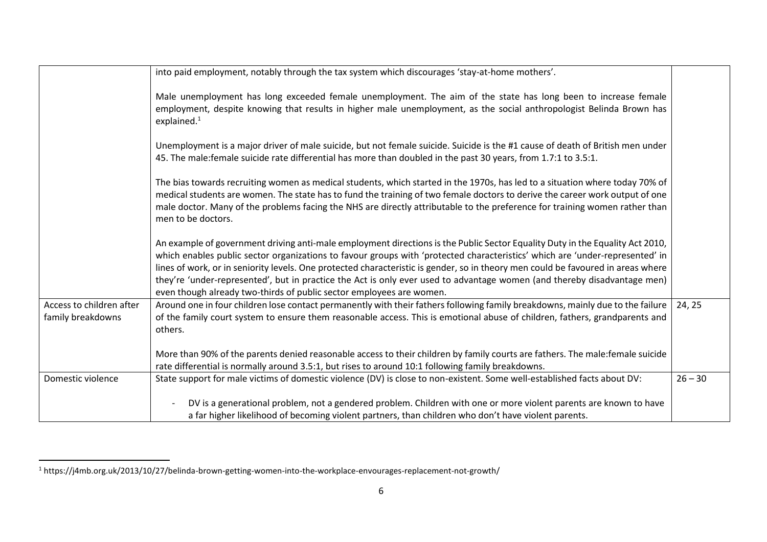|                          | into paid employment, notably through the tax system which discourages 'stay-at-home mothers'.                                                                                                                                                                                                                                                                                                                                                                                                                                                                                                        |           |
|--------------------------|-------------------------------------------------------------------------------------------------------------------------------------------------------------------------------------------------------------------------------------------------------------------------------------------------------------------------------------------------------------------------------------------------------------------------------------------------------------------------------------------------------------------------------------------------------------------------------------------------------|-----------|
|                          | Male unemployment has long exceeded female unemployment. The aim of the state has long been to increase female<br>employment, despite knowing that results in higher male unemployment, as the social anthropologist Belinda Brown has<br>explained. $1$                                                                                                                                                                                                                                                                                                                                              |           |
|                          | Unemployment is a major driver of male suicide, but not female suicide. Suicide is the #1 cause of death of British men under<br>45. The male: female suicide rate differential has more than doubled in the past 30 years, from 1.7:1 to 3.5:1.                                                                                                                                                                                                                                                                                                                                                      |           |
|                          | The bias towards recruiting women as medical students, which started in the 1970s, has led to a situation where today 70% of<br>medical students are women. The state has to fund the training of two female doctors to derive the career work output of one<br>male doctor. Many of the problems facing the NHS are directly attributable to the preference for training women rather than<br>men to be doctors.                                                                                                                                                                                     |           |
|                          | An example of government driving anti-male employment directions is the Public Sector Equality Duty in the Equality Act 2010,<br>which enables public sector organizations to favour groups with 'protected characteristics' which are 'under-represented' in<br>lines of work, or in seniority levels. One protected characteristic is gender, so in theory men could be favoured in areas where<br>they're 'under-represented', but in practice the Act is only ever used to advantage women (and thereby disadvantage men)<br>even though already two-thirds of public sector employees are women. |           |
| Access to children after | Around one in four children lose contact permanently with their fathers following family breakdowns, mainly due to the failure                                                                                                                                                                                                                                                                                                                                                                                                                                                                        | 24, 25    |
| family breakdowns        | of the family court system to ensure them reasonable access. This is emotional abuse of children, fathers, grandparents and<br>others.                                                                                                                                                                                                                                                                                                                                                                                                                                                                |           |
|                          | More than 90% of the parents denied reasonable access to their children by family courts are fathers. The male:female suicide                                                                                                                                                                                                                                                                                                                                                                                                                                                                         |           |
|                          | rate differential is normally around 3.5:1, but rises to around 10:1 following family breakdowns.                                                                                                                                                                                                                                                                                                                                                                                                                                                                                                     |           |
| Domestic violence        | State support for male victims of domestic violence (DV) is close to non-existent. Some well-established facts about DV:                                                                                                                                                                                                                                                                                                                                                                                                                                                                              | $26 - 30$ |
|                          | DV is a generational problem, not a gendered problem. Children with one or more violent parents are known to have                                                                                                                                                                                                                                                                                                                                                                                                                                                                                     |           |
|                          | a far higher likelihood of becoming violent partners, than children who don't have violent parents.                                                                                                                                                                                                                                                                                                                                                                                                                                                                                                   |           |

 $^1$  https://j4mb.org.uk/2013/10/27/belinda-brown-getting-women-into-the-workplace-envourages-replacement-not-growth/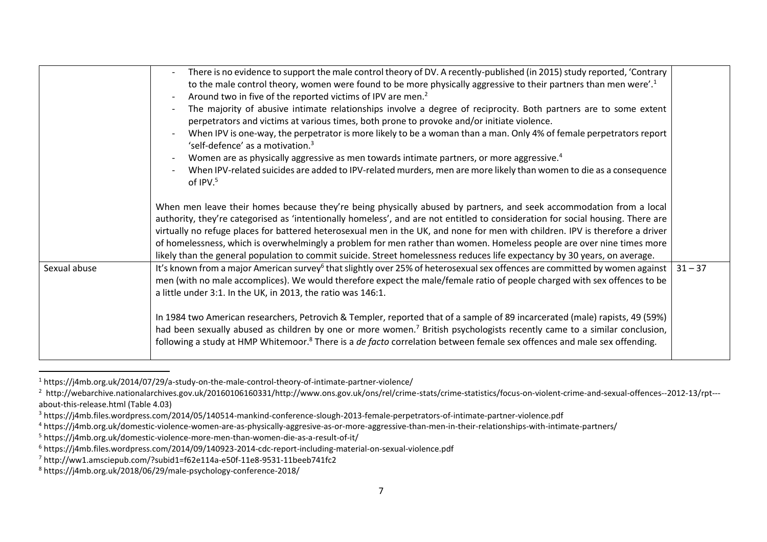|              | There is no evidence to support the male control theory of DV. A recently-published (in 2015) study reported, 'Contrary<br>$\overline{\phantom{a}}$<br>to the male control theory, women were found to be more physically aggressive to their partners than men were'. <sup>1</sup><br>Around two in five of the reported victims of IPV are men. <sup>2</sup><br>$\overline{\phantom{a}}$<br>The majority of abusive intimate relationships involve a degree of reciprocity. Both partners are to some extent<br>perpetrators and victims at various times, both prone to provoke and/or initiate violence.<br>When IPV is one-way, the perpetrator is more likely to be a woman than a man. Only 4% of female perpetrators report<br>'self-defence' as a motivation. <sup>3</sup><br>Women are as physically aggressive as men towards intimate partners, or more aggressive. <sup>4</sup><br>When IPV-related suicides are added to IPV-related murders, men are more likely than women to die as a consequence<br>of IPV. <sup>5</sup> |           |
|--------------|--------------------------------------------------------------------------------------------------------------------------------------------------------------------------------------------------------------------------------------------------------------------------------------------------------------------------------------------------------------------------------------------------------------------------------------------------------------------------------------------------------------------------------------------------------------------------------------------------------------------------------------------------------------------------------------------------------------------------------------------------------------------------------------------------------------------------------------------------------------------------------------------------------------------------------------------------------------------------------------------------------------------------------------------|-----------|
|              | When men leave their homes because they're being physically abused by partners, and seek accommodation from a local<br>authority, they're categorised as 'intentionally homeless', and are not entitled to consideration for social housing. There are<br>virtually no refuge places for battered heterosexual men in the UK, and none for men with children. IPV is therefore a driver<br>of homelessness, which is overwhelmingly a problem for men rather than women. Homeless people are over nine times more<br>likely than the general population to commit suicide. Street homelessness reduces life expectancy by 30 years, on average.                                                                                                                                                                                                                                                                                                                                                                                            |           |
| Sexual abuse | It's known from a major American survey <sup>6</sup> that slightly over 25% of heterosexual sex offences are committed by women against<br>men (with no male accomplices). We would therefore expect the male/female ratio of people charged with sex offences to be<br>a little under 3:1. In the UK, in 2013, the ratio was 146:1.                                                                                                                                                                                                                                                                                                                                                                                                                                                                                                                                                                                                                                                                                                       | $31 - 37$ |
|              | In 1984 two American researchers, Petrovich & Templer, reported that of a sample of 89 incarcerated (male) rapists, 49 (59%)<br>had been sexually abused as children by one or more women. <sup>7</sup> British psychologists recently came to a similar conclusion,<br>following a study at HMP Whitemoor. <sup>8</sup> There is a <i>de facto</i> correlation between female sex offences and male sex offending.                                                                                                                                                                                                                                                                                                                                                                                                                                                                                                                                                                                                                        |           |

<sup>1</sup> https://j4mb.org.uk/2014/07/29/a-study-on-the-male-control-theory-of-intimate-partner-violence/

<sup>&</sup>lt;sup>2</sup> http://webarchive.nationalarchives.gov.uk/20160106160331/http://www.ons.gov.uk/ons/rel/crime-stats/crime-statistics/focus-on-violent-crime-and-sexual-offences--2012-13/rpt--about-this-release.html (Table 4.03)

<sup>&</sup>lt;sup>3</sup> https://j4mb.files.wordpress.com/2014/05/140514-mankind-conference-slough-2013-female-perpetrators-of-intimate-partner-violence.pdf

<sup>4</sup> https://j4mb.org.uk/domestic-violence-women-are-as-physically-aggresive-as-or-more-aggressive-than-men-in-their-relationships-with-intimate-partners/

<sup>5</sup> https://j4mb.org.uk/domestic-violence-more-men-than-women-die-as-a-result-of-it/

<sup>6</sup> https://j4mb.files.wordpress.com/2014/09/140923-2014-cdc-report-including-material-on-sexual-violence.pdf

<sup>7</sup> http://ww1.amsciepub.com/?subid1=f62e114a-e50f-11e8-9531-11beeb741fc2

<sup>8</sup> https://j4mb.org.uk/2018/06/29/male-psychology-conference-2018/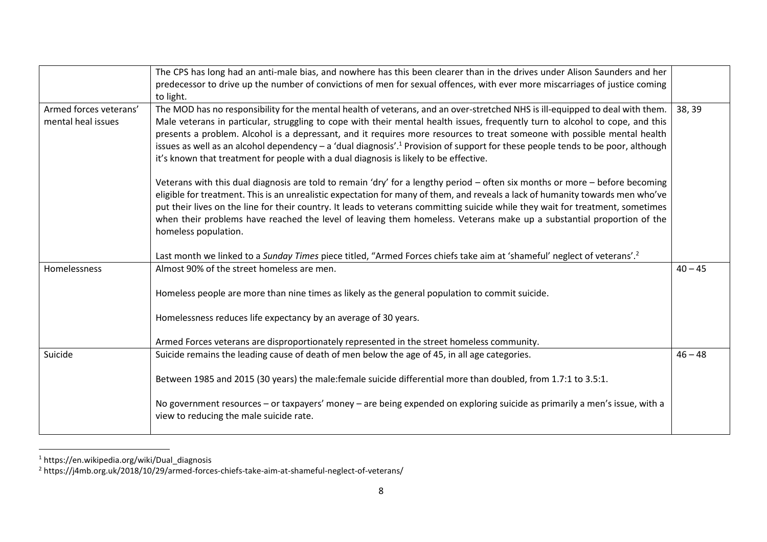|                        | The CPS has long had an anti-male bias, and nowhere has this been clearer than in the drives under Alison Saunders and her                  |           |
|------------------------|---------------------------------------------------------------------------------------------------------------------------------------------|-----------|
|                        | predecessor to drive up the number of convictions of men for sexual offences, with ever more miscarriages of justice coming                 |           |
|                        | to light.                                                                                                                                   |           |
| Armed forces veterans' | The MOD has no responsibility for the mental health of veterans, and an over-stretched NHS is ill-equipped to deal with them.               | 38, 39    |
| mental heal issues     | Male veterans in particular, struggling to cope with their mental health issues, frequently turn to alcohol to cope, and this               |           |
|                        | presents a problem. Alcohol is a depressant, and it requires more resources to treat someone with possible mental health                    |           |
|                        | issues as well as an alcohol dependency - a 'dual diagnosis'. <sup>1</sup> Provision of support for these people tends to be poor, although |           |
|                        | it's known that treatment for people with a dual diagnosis is likely to be effective.                                                       |           |
|                        | Veterans with this dual diagnosis are told to remain 'dry' for a lengthy period – often six months or more – before becoming                |           |
|                        | eligible for treatment. This is an unrealistic expectation for many of them, and reveals a lack of humanity towards men who've              |           |
|                        | put their lives on the line for their country. It leads to veterans committing suicide while they wait for treatment, sometimes             |           |
|                        | when their problems have reached the level of leaving them homeless. Veterans make up a substantial proportion of the                       |           |
|                        | homeless population.                                                                                                                        |           |
|                        | Last month we linked to a Sunday Times piece titled, "Armed Forces chiefs take aim at 'shameful' neglect of veterans'. <sup>2</sup>         |           |
| Homelessness           | Almost 90% of the street homeless are men.                                                                                                  | $40 - 45$ |
|                        |                                                                                                                                             |           |
|                        | Homeless people are more than nine times as likely as the general population to commit suicide.                                             |           |
|                        | Homelessness reduces life expectancy by an average of 30 years.                                                                             |           |
|                        |                                                                                                                                             |           |
|                        | Armed Forces veterans are disproportionately represented in the street homeless community.                                                  |           |
| Suicide                | Suicide remains the leading cause of death of men below the age of 45, in all age categories.                                               | $46 - 48$ |
|                        |                                                                                                                                             |           |
|                        | Between 1985 and 2015 (30 years) the male: female suicide differential more than doubled, from 1.7:1 to 3.5:1.                              |           |
|                        | No government resources - or taxpayers' money - are being expended on exploring suicide as primarily a men's issue, with a                  |           |
|                        | view to reducing the male suicide rate.                                                                                                     |           |
|                        |                                                                                                                                             |           |

<sup>1</sup> https://en.wikipedia.org/wiki/Dual\_diagnosis

<sup>2</sup> https://j4mb.org.uk/2018/10/29/armed-forces-chiefs-take-aim-at-shameful-neglect-of-veterans/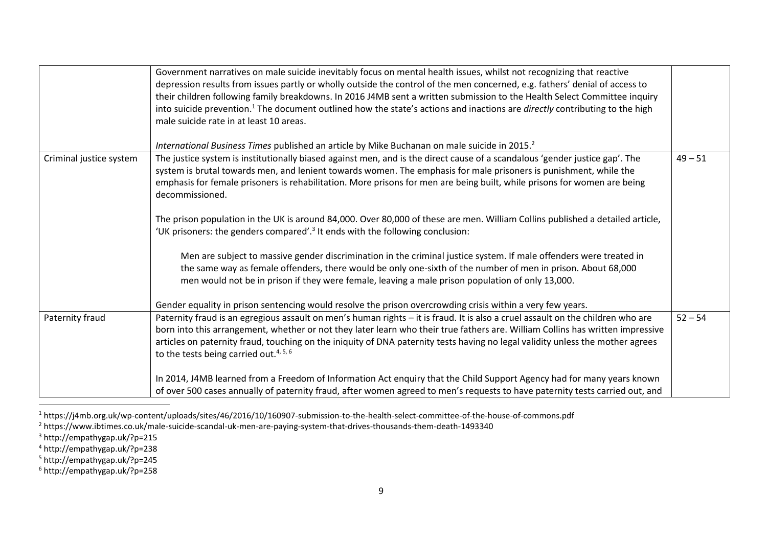|                         | Government narratives on male suicide inevitably focus on mental health issues, whilst not recognizing that reactive<br>depression results from issues partly or wholly outside the control of the men concerned, e.g. fathers' denial of access to<br>their children following family breakdowns. In 2016 J4MB sent a written submission to the Health Select Committee inquiry<br>into suicide prevention. <sup>1</sup> The document outlined how the state's actions and inactions are <i>directly</i> contributing to the high<br>male suicide rate in at least 10 areas.                                                                                                                                       |           |
|-------------------------|---------------------------------------------------------------------------------------------------------------------------------------------------------------------------------------------------------------------------------------------------------------------------------------------------------------------------------------------------------------------------------------------------------------------------------------------------------------------------------------------------------------------------------------------------------------------------------------------------------------------------------------------------------------------------------------------------------------------|-----------|
| Criminal justice system | International Business Times published an article by Mike Buchanan on male suicide in 2015. <sup>2</sup><br>The justice system is institutionally biased against men, and is the direct cause of a scandalous 'gender justice gap'. The<br>system is brutal towards men, and lenient towards women. The emphasis for male prisoners is punishment, while the<br>emphasis for female prisoners is rehabilitation. More prisons for men are being built, while prisons for women are being<br>decommissioned.<br>The prison population in the UK is around 84,000. Over 80,000 of these are men. William Collins published a detailed article,                                                                        | $49 - 51$ |
|                         | 'UK prisoners: the genders compared'. <sup>3</sup> It ends with the following conclusion:<br>Men are subject to massive gender discrimination in the criminal justice system. If male offenders were treated in<br>the same way as female offenders, there would be only one-sixth of the number of men in prison. About 68,000<br>men would not be in prison if they were female, leaving a male prison population of only 13,000.<br>Gender equality in prison sentencing would resolve the prison overcrowding crisis within a very few years.                                                                                                                                                                   |           |
| Paternity fraud         | Paternity fraud is an egregious assault on men's human rights - it is fraud. It is also a cruel assault on the children who are<br>born into this arrangement, whether or not they later learn who their true fathers are. William Collins has written impressive<br>articles on paternity fraud, touching on the iniquity of DNA paternity tests having no legal validity unless the mother agrees<br>to the tests being carried out. <sup>4, 5, 6</sup><br>In 2014, J4MB learned from a Freedom of Information Act enquiry that the Child Support Agency had for many years known<br>of over 500 cases annually of paternity fraud, after women agreed to men's requests to have paternity tests carried out, and | $52 - 54$ |

<sup>1</sup> https://j4mb.org.uk/wp-content/uploads/sites/46/2016/10/160907-submission-to-the-health-select-committee-of-the-house-of-commons.pdf

<sup>2</sup> https://www.ibtimes.co.uk/male-suicide-scandal-uk-men-are-paying-system-that-drives-thousands-them-death-1493340

<sup>3</sup> http://empathygap.uk/?p=215

<sup>4</sup> http://empathygap.uk/?p=238

<sup>5</sup> http://empathygap.uk/?p=245

<sup>6</sup> http://empathygap.uk/?p=258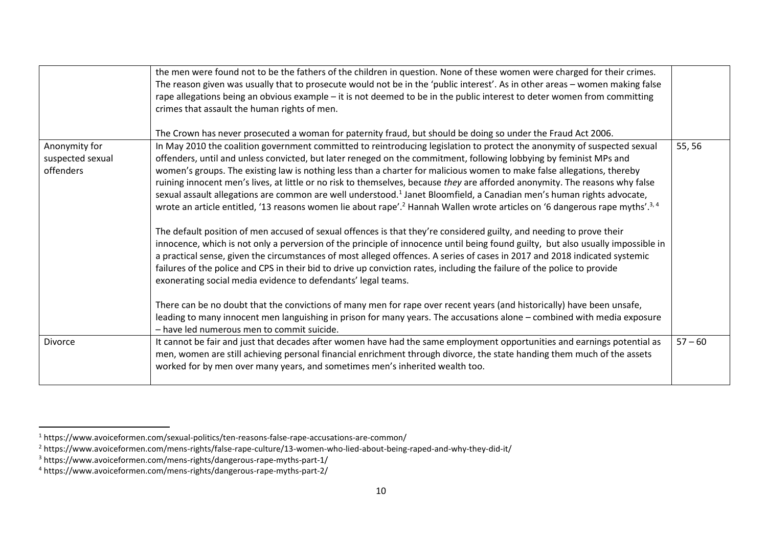|                                                | the men were found not to be the fathers of the children in question. None of these women were charged for their crimes.<br>The reason given was usually that to prosecute would not be in the 'public interest'. As in other areas - women making false<br>rape allegations being an obvious example – it is not deemed to be in the public interest to deter women from committing<br>crimes that assault the human rights of men.<br>The Crown has never prosecuted a woman for paternity fraud, but should be doing so under the Fraud Act 2006.                                                                                                                                                                                                                                                                                                                                                                                                                                                                                                                                                                                                                                                                                                                                                                                                                                                                                                                                                                                                                                                                                                                                            |           |
|------------------------------------------------|-------------------------------------------------------------------------------------------------------------------------------------------------------------------------------------------------------------------------------------------------------------------------------------------------------------------------------------------------------------------------------------------------------------------------------------------------------------------------------------------------------------------------------------------------------------------------------------------------------------------------------------------------------------------------------------------------------------------------------------------------------------------------------------------------------------------------------------------------------------------------------------------------------------------------------------------------------------------------------------------------------------------------------------------------------------------------------------------------------------------------------------------------------------------------------------------------------------------------------------------------------------------------------------------------------------------------------------------------------------------------------------------------------------------------------------------------------------------------------------------------------------------------------------------------------------------------------------------------------------------------------------------------------------------------------------------------|-----------|
| Anonymity for<br>suspected sexual<br>offenders | In May 2010 the coalition government committed to reintroducing legislation to protect the anonymity of suspected sexual<br>offenders, until and unless convicted, but later reneged on the commitment, following lobbying by feminist MPs and<br>women's groups. The existing law is nothing less than a charter for malicious women to make false allegations, thereby<br>ruining innocent men's lives, at little or no risk to themselves, because they are afforded anonymity. The reasons why false<br>sexual assault allegations are common are well understood. <sup>1</sup> Janet Bloomfield, a Canadian men's human rights advocate,<br>wrote an article entitled, '13 reasons women lie about rape'. <sup>2</sup> Hannah Wallen wrote articles on '6 dangerous rape myths'. <sup>3, 4</sup><br>The default position of men accused of sexual offences is that they're considered guilty, and needing to prove their<br>innocence, which is not only a perversion of the principle of innocence until being found guilty, but also usually impossible in<br>a practical sense, given the circumstances of most alleged offences. A series of cases in 2017 and 2018 indicated systemic<br>failures of the police and CPS in their bid to drive up conviction rates, including the failure of the police to provide<br>exonerating social media evidence to defendants' legal teams.<br>There can be no doubt that the convictions of many men for rape over recent years (and historically) have been unsafe,<br>leading to many innocent men languishing in prison for many years. The accusations alone – combined with media exposure<br>- have led numerous men to commit suicide. | 55, 56    |
| <b>Divorce</b>                                 | It cannot be fair and just that decades after women have had the same employment opportunities and earnings potential as<br>men, women are still achieving personal financial enrichment through divorce, the state handing them much of the assets<br>worked for by men over many years, and sometimes men's inherited wealth too.                                                                                                                                                                                                                                                                                                                                                                                                                                                                                                                                                                                                                                                                                                                                                                                                                                                                                                                                                                                                                                                                                                                                                                                                                                                                                                                                                             | $57 - 60$ |

<sup>1</sup> https://www.avoiceformen.com/sexual-politics/ten-reasons-false-rape-accusations-are-common/

<sup>2</sup> https://www.avoiceformen.com/mens-rights/false-rape-culture/13-women-who-lied-about-being-raped-and-why-they-did-it/

<sup>3</sup> https://www.avoiceformen.com/mens-rights/dangerous-rape-myths-part-1/

<sup>4</sup> https://www.avoiceformen.com/mens-rights/dangerous-rape-myths-part-2/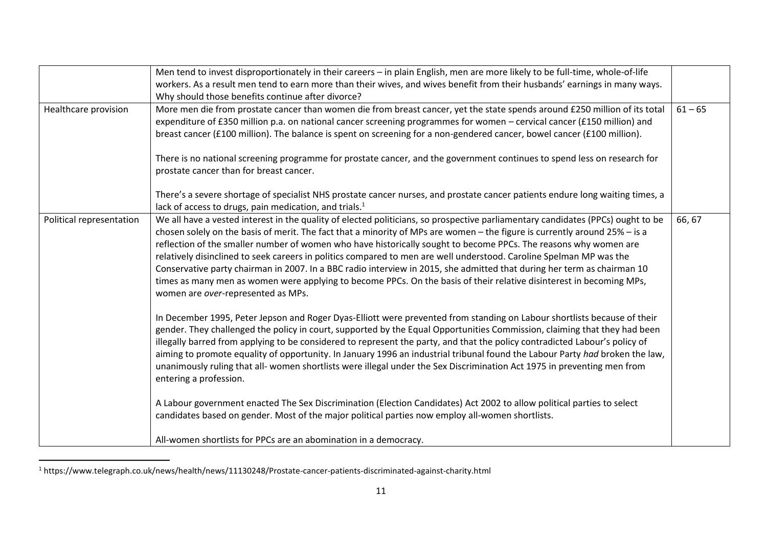|                          | Men tend to invest disproportionately in their careers - in plain English, men are more likely to be full-time, whole-of-life   |           |
|--------------------------|---------------------------------------------------------------------------------------------------------------------------------|-----------|
|                          | workers. As a result men tend to earn more than their wives, and wives benefit from their husbands' earnings in many ways.      |           |
|                          | Why should those benefits continue after divorce?                                                                               |           |
| Healthcare provision     | More men die from prostate cancer than women die from breast cancer, yet the state spends around £250 million of its total      | $61 - 65$ |
|                          | expenditure of £350 million p.a. on national cancer screening programmes for women - cervical cancer (£150 million) and         |           |
|                          | breast cancer (£100 million). The balance is spent on screening for a non-gendered cancer, bowel cancer (£100 million).         |           |
|                          |                                                                                                                                 |           |
|                          | There is no national screening programme for prostate cancer, and the government continues to spend less on research for        |           |
|                          | prostate cancer than for breast cancer.                                                                                         |           |
|                          |                                                                                                                                 |           |
|                          | There's a severe shortage of specialist NHS prostate cancer nurses, and prostate cancer patients endure long waiting times, a   |           |
|                          | lack of access to drugs, pain medication, and trials. <sup>1</sup>                                                              |           |
| Political representation | We all have a vested interest in the quality of elected politicians, so prospective parliamentary candidates (PPCs) ought to be | 66, 67    |
|                          | chosen solely on the basis of merit. The fact that a minority of MPs are women – the figure is currently around 25% – is a      |           |
|                          | reflection of the smaller number of women who have historically sought to become PPCs. The reasons why women are                |           |
|                          | relatively disinclined to seek careers in politics compared to men are well understood. Caroline Spelman MP was the             |           |
|                          | Conservative party chairman in 2007. In a BBC radio interview in 2015, she admitted that during her term as chairman 10         |           |
|                          | times as many men as women were applying to become PPCs. On the basis of their relative disinterest in becoming MPs,            |           |
|                          | women are over-represented as MPs.                                                                                              |           |
|                          |                                                                                                                                 |           |
|                          | In December 1995, Peter Jepson and Roger Dyas-Elliott were prevented from standing on Labour shortlists because of their        |           |
|                          | gender. They challenged the policy in court, supported by the Equal Opportunities Commission, claiming that they had been       |           |
|                          | illegally barred from applying to be considered to represent the party, and that the policy contradicted Labour's policy of     |           |
|                          | aiming to promote equality of opportunity. In January 1996 an industrial tribunal found the Labour Party had broken the law,    |           |
|                          | unanimously ruling that all- women shortlists were illegal under the Sex Discrimination Act 1975 in preventing men from         |           |
|                          | entering a profession.                                                                                                          |           |
|                          |                                                                                                                                 |           |
|                          | A Labour government enacted The Sex Discrimination (Election Candidates) Act 2002 to allow political parties to select          |           |
|                          | candidates based on gender. Most of the major political parties now employ all-women shortlists.                                |           |
|                          |                                                                                                                                 |           |
|                          | All-women shortlists for PPCs are an abomination in a democracy.                                                                |           |

 $^1$  https://www.telegraph.co.uk/news/health/news/11130248/Prostate-cancer-patients-discriminated-against-charity.html